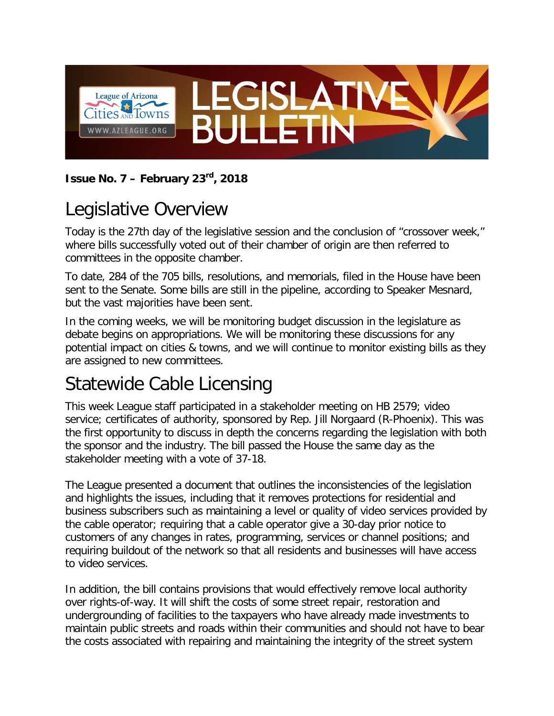

#### **Issue No. 7 – February 23rd, 2018**

# Legislative Overview

Today is the 27th day of the legislative session and the conclusion of "crossover week," where bills successfully voted out of their chamber of origin are then referred to committees in the opposite chamber.

To date, 284 of the 705 bills, resolutions, and memorials, filed in the House have been sent to the Senate. Some bills are still in the pipeline, according to Speaker Mesnard, but the vast majorities have been sent.

In the coming weeks, we will be monitoring budget discussion in the legislature as debate begins on appropriations. We will be monitoring these discussions for any potential impact on cities & towns, and we will continue to monitor existing bills as they are assigned to new committees.

## Statewide Cable Licensing

This week League staff participated in a stakeholder meeting on HB 2579; video service; certificates of authority, sponsored by Rep. Jill Norgaard (R-Phoenix). This was the first opportunity to discuss in depth the concerns regarding the legislation with both the sponsor and the industry. The bill passed the House the same day as the stakeholder meeting with a vote of 37-18.

The League presented a document that outlines the inconsistencies of the legislation and highlights the issues, including that it removes protections for residential and business subscribers such as maintaining a level or quality of video services provided by the cable operator; requiring that a cable operator give a 30-day prior notice to customers of any changes in rates, programming, services or channel positions; and requiring buildout of the network so that all residents and businesses will have access to video services.

In addition, the bill contains provisions that would effectively remove local authority over rights-of-way. It will shift the costs of some street repair, restoration and undergrounding of facilities to the taxpayers who have already made investments to maintain public streets and roads within their communities and should not have to bear the costs associated with repairing and maintaining the integrity of the street system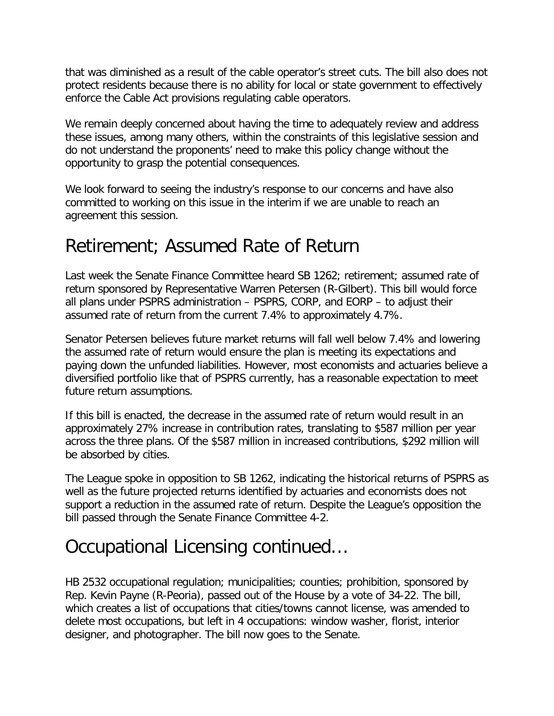that was diminished as a result of the cable operator's street cuts. The bill also does not protect residents because there is no ability for local or state government to effectively enforce the Cable Act provisions regulating cable operators.

We remain deeply concerned about having the time to adequately review and address these issues, among many others, within the constraints of this legislative session and do not understand the proponents' need to make this policy change without the opportunity to grasp the potential consequences.

We look forward to seeing the industry's response to our concerns and have also committed to working on this issue in the interim if we are unable to reach an agreement this session.

#### Retirement; Assumed Rate of Return

Last week the Senate Finance Committee heard SB 1262; retirement; assumed rate of return sponsored by Representative Warren Petersen (R-Gilbert). This bill would force all plans under PSPRS administration – PSPRS, CORP, and EORP – to adjust their assumed rate of return from the current 7.4% to approximately 4.7%.

Senator Petersen believes future market returns will fall well below 7.4% and lowering the assumed rate of return would ensure the plan is meeting its expectations and paying down the unfunded liabilities. However, most economists and actuaries believe a diversified portfolio like that of PSPRS currently, has a reasonable expectation to meet future return assumptions.

If this bill is enacted, the decrease in the assumed rate of return would result in an approximately 27% increase in contribution rates, translating to \$587 million per year across the three plans. Of the \$587 million in increased contributions, \$292 million will be absorbed by cities.

The League spoke in opposition to SB 1262, indicating the historical returns of PSPRS as well as the future projected returns identified by actuaries and economists does not support a reduction in the assumed rate of return. Despite the League's opposition the bill passed through the Senate Finance Committee 4-2.

## Occupational Licensing continued…

HB 2532 occupational regulation; municipalities; counties; prohibition, sponsored by Rep. Kevin Payne (R-Peoria), passed out of the House by a vote of 34-22. The bill, which creates a list of occupations that cities/towns cannot license, was amended to delete most occupations, but left in 4 occupations: window washer, florist, interior designer, and photographer. The bill now goes to the Senate.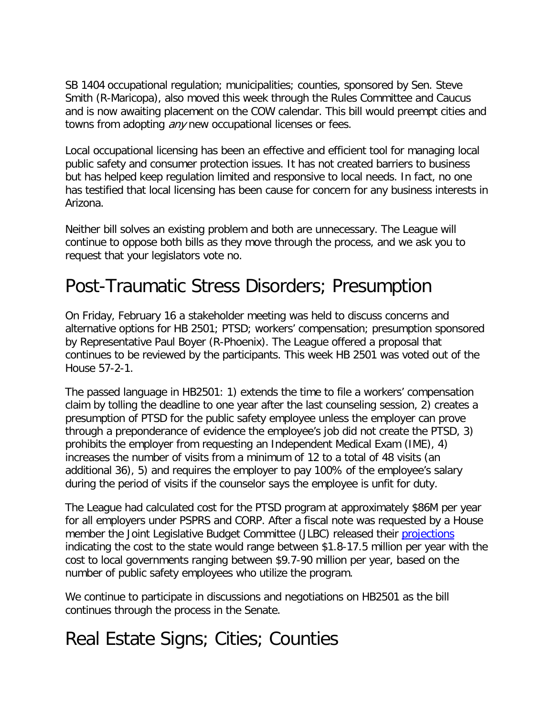SB 1404 occupational regulation; municipalities; counties, sponsored by Sen. Steve Smith (R-Maricopa), also moved this week through the Rules Committee and Caucus and is now awaiting placement on the COW calendar. This bill would preempt cities and towns from adopting *any* new occupational licenses or fees.

Local occupational licensing has been an effective and efficient tool for managing local public safety and consumer protection issues. It has not created barriers to business but has helped keep regulation limited and responsive to local needs. In fact, no one has testified that local licensing has been cause for concern for any business interests in Arizona.

Neither bill solves an existing problem and both are unnecessary. The League will continue to oppose both bills as they move through the process, and we ask you to request that your legislators vote no.

## Post-Traumatic Stress Disorders; Presumption

On Friday, February 16 a stakeholder meeting was held to discuss concerns and alternative options for HB 2501; PTSD; workers' compensation; presumption sponsored by Representative Paul Boyer (R-Phoenix). The League offered a proposal that continues to be reviewed by the participants. This week HB 2501 was voted out of the House 57-2-1.

The passed language in HB2501: 1) extends the time to file a workers' compensation claim by tolling the deadline to one year after the last counseling session, 2) creates a presumption of PTSD for the public safety employee unless the employer can prove through a preponderance of evidence the employee's job did not create the PTSD, 3) prohibits the employer from requesting an Independent Medical Exam (IME), 4) increases the number of visits from a minimum of 12 to a total of 48 visits (an additional 36), 5) and requires the employer to pay 100% of the employee's salary during the period of visits if the counselor says the employee is unfit for duty.

The League had calculated cost for the PTSD program at approximately \$86M per year for all employers under PSPRS and CORP. After a fiscal note was requested by a House member the Joint Legislative Budget Committee (JLBC) released their [projections](https://apps.azleg.gov/BillStatus/GetDocumentPdf/458865) indicating the cost to the state would range between \$1.8-17.5 million per year with the cost to local governments ranging between \$9.7-90 million per year, based on the number of public safety employees who utilize the program.

We continue to participate in discussions and negotiations on HB2501 as the bill continues through the process in the Senate.

## Real Estate Signs; Cities; Counties